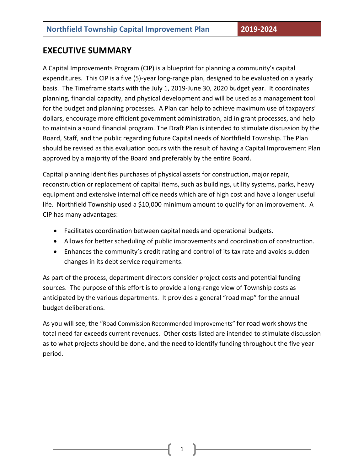## **EXECUTIVE SUMMARY**

A Capital Improvements Program (CIP) is a blueprint for planning a community's capital expenditures. This CIP is a five (5)-year long-range plan, designed to be evaluated on a yearly basis. The Timeframe starts with the July 1, 2019-June 30, 2020 budget year. It coordinates planning, financial capacity, and physical development and will be used as a management tool for the budget and planning processes. A Plan can help to achieve maximum use of taxpayers' dollars, encourage more efficient government administration, aid in grant processes, and help to maintain a sound financial program. The Draft Plan is intended to stimulate discussion by the Board, Staff, and the public regarding future Capital needs of Northfield Township. The Plan should be revised as this evaluation occurs with the result of having a Capital Improvement Plan approved by a majority of the Board and preferably by the entire Board.

Capital planning identifies purchases of physical assets for construction, major repair, reconstruction or replacement of capital items, such as buildings, utility systems, parks, heavy equipment and extensive internal office needs which are of high cost and have a longer useful life. Northfield Township used a \$10,000 minimum amount to qualify for an improvement. A CIP has many advantages:

- Facilitates coordination between capital needs and operational budgets.
- Allows for better scheduling of public improvements and coordination of construction.
- Enhances the community's credit rating and control of its tax rate and avoids sudden changes in its debt service requirements.

As part of the process, department directors consider project costs and potential funding sources. The purpose of this effort is to provide a long-range view of Township costs as anticipated by the various departments. It provides a general "road map" for the annual budget deliberations.

As you will see, the "Road Commission Recommended Improvements" for road work shows the total need far exceeds current revenues. Other costs listed are intended to stimulate discussion as to what projects should be done, and the need to identify funding throughout the five year period.

1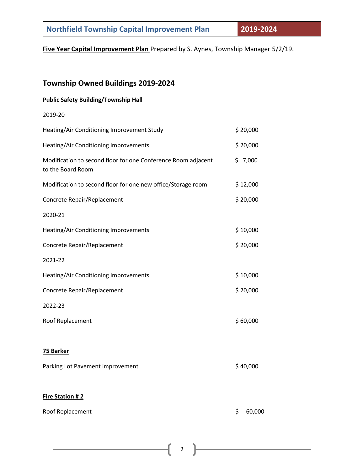**Five Year Capital Improvement Plan** Prepared by S. Aynes, Township Manager 5/2/19.

# **Township Owned Buildings 2019-2024**

#### **Public Safety Building/Township Hall**

2019-20

| Heating/Air Conditioning Improvement Study                                         | \$20,000 |
|------------------------------------------------------------------------------------|----------|
| Heating/Air Conditioning Improvements                                              | \$20,000 |
| Modification to second floor for one Conference Room adjacent<br>to the Board Room | \$7,000  |
| Modification to second floor for one new office/Storage room                       | \$12,000 |
| Concrete Repair/Replacement                                                        | \$20,000 |
| 2020-21                                                                            |          |
| Heating/Air Conditioning Improvements                                              | \$10,000 |
| Concrete Repair/Replacement                                                        | \$20,000 |
| 2021-22                                                                            |          |
| Heating/Air Conditioning Improvements                                              | \$10,000 |
| Concrete Repair/Replacement                                                        | \$20,000 |
| 2022-23                                                                            |          |
| Roof Replacement                                                                   | \$60,000 |
|                                                                                    |          |
| 75 Barker                                                                          |          |
| Parking Lot Pavement improvement                                                   | \$40,000 |

### **Fire Station # 2**

| Roof Replacement |  |
|------------------|--|
|------------------|--|

 $$60,000$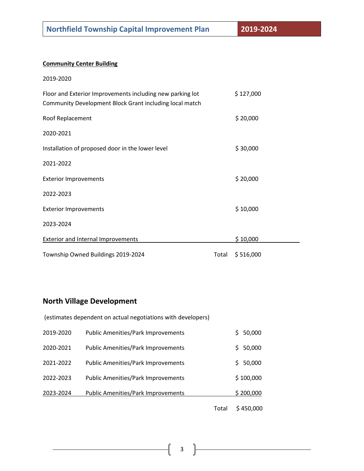#### **Community Center Building**

| 2019-2020                                                                                                            |       |           |
|----------------------------------------------------------------------------------------------------------------------|-------|-----------|
| Floor and Exterior Improvements including new parking lot<br>Community Development Block Grant including local match |       | \$127,000 |
| Roof Replacement                                                                                                     |       | \$20,000  |
| 2020-2021                                                                                                            |       |           |
| Installation of proposed door in the lower level                                                                     |       | \$30,000  |
| 2021-2022                                                                                                            |       |           |
| <b>Exterior Improvements</b>                                                                                         |       | \$20,000  |
| 2022-2023                                                                                                            |       |           |
| <b>Exterior Improvements</b>                                                                                         |       | \$10,000  |
| 2023-2024                                                                                                            |       |           |
| <b>Exterior and Internal Improvements</b>                                                                            |       | \$10,000  |
| Township Owned Buildings 2019-2024                                                                                   | Total | \$516,000 |

# **North Village Development**

|           |                                                              | Total | \$450,000    |
|-----------|--------------------------------------------------------------|-------|--------------|
| 2023-2024 | <b>Public Amenities/Park Improvements</b>                    |       | \$200,000    |
| 2022-2023 | <b>Public Amenities/Park Improvements</b>                    |       | \$100,000    |
| 2021-2022 | <b>Public Amenities/Park Improvements</b>                    |       | 50,000<br>S. |
| 2020-2021 | <b>Public Amenities/Park Improvements</b>                    |       | 50,000<br>Ś. |
| 2019-2020 | Public Amenities/Park Improvements                           |       | Ś.<br>50,000 |
|           | (estimates dependent on actual negotiations with developers) |       |              |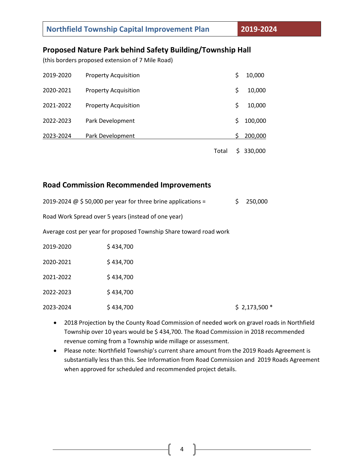## **Proposed Nature Park behind Safety Building/Township Hall**

(this borders proposed extension of 7 Mile Road)

| 2019-2020 | <b>Property Acquisition</b> |       | \$ | 10,000  |
|-----------|-----------------------------|-------|----|---------|
| 2020-2021 | <b>Property Acquisition</b> |       | \$ | 10,000  |
| 2021-2022 | <b>Property Acquisition</b> |       | \$ | 10,000  |
| 2022-2023 | Park Development            |       | Ŝ. | 100,000 |
| 2023-2024 | Park Development            |       | S  | 200,000 |
|           |                             | Total | S. | 330,000 |

#### **Road Commission Recommended Improvements**

|                                                     | 2019-2024 @ \$50,000 per year for three brine applications =       |  | 250,000       |  |
|-----------------------------------------------------|--------------------------------------------------------------------|--|---------------|--|
| Road Work Spread over 5 years (instead of one year) |                                                                    |  |               |  |
|                                                     | Average cost per year for proposed Township Share toward road work |  |               |  |
| 2019-2020                                           | \$434,700                                                          |  |               |  |
| 2020-2021                                           | \$434,700                                                          |  |               |  |
| 2021-2022                                           | \$434,700                                                          |  |               |  |
| 2022-2023                                           | \$434,700                                                          |  |               |  |
| 2023-2024                                           | \$434.700                                                          |  | $$2,173,500*$ |  |

- 2018 Projection by the County Road Commission of needed work on gravel roads in Northfield Township over 10 years would be \$ 434,700. The Road Commission in 2018 recommended revenue coming from a Township wide millage or assessment.
- Please note: Northfield Township's current share amount from the 2019 Roads Agreement is substantially less than this. See Information from Road Commission and 2019 Roads Agreement when approved for scheduled and recommended project details.

4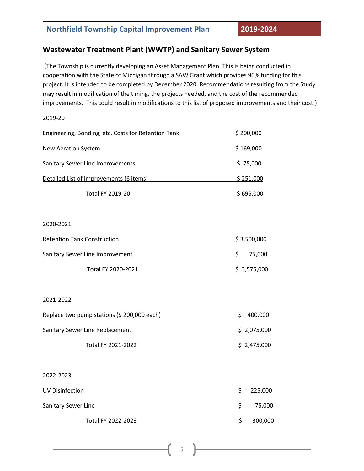## **Wastewater Treatment Plant (WWTP) and Sanitary Sewer System**

(The Township is currently developing an Asset Management Plan. This is being conducted in cooperation with the State of Michigan through a SAW Grant which provides 90% funding for this project. It is intended to be completed by December 2020. Recommendations resulting from the Study may result in modification of the timing, the projects needed, and the cost of the recommended improvements. This could result in modifications to this list of proposed improvements and their cost.)

2019-20

| Engineering, Bonding, etc. Costs for Retention Tank | \$200,000     |
|-----------------------------------------------------|---------------|
| <b>New Aeration System</b>                          | \$169,000     |
| Sanitary Sewer Line Improvements                    | \$75,000      |
| Detailed List of Improvements (6 items)             | \$251,000     |
| <b>Total FY 2019-20</b>                             | \$695,000     |
|                                                     |               |
| 2020-2021                                           |               |
| <b>Retention Tank Construction</b>                  | \$3,500,000   |
| <b>Sanitary Sewer Line Improvement</b>              | Ś.<br>75,000  |
| Total FY 2020-2021                                  | \$3,575,000   |
| 2021-2022                                           |               |
| Replace two pump stations (\$ 200,000 each)         | \$<br>400,000 |
| <b>Sanitary Sewer Line Replacement</b>              | \$2,075,000   |
| Total FY 2021-2022                                  | \$2,475,000   |
| 2022-2023                                           |               |
| <b>UV Disinfection</b>                              | \$<br>225,000 |
| <b>Sanitary Sewer Line</b>                          | \$<br>75,000  |
| Total FY 2022-2023                                  | \$<br>300,000 |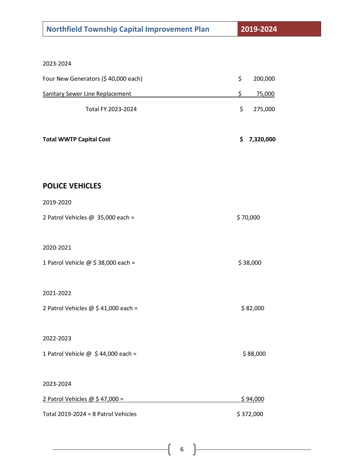| <b>Northfield Township Capital Improvement Plan</b> | 2019-2024       |
|-----------------------------------------------------|-----------------|
|                                                     |                 |
| 2023-2024                                           |                 |
| Four New Generators (\$40,000 each)                 | \$<br>200,000   |
| <b>Sanitary Sewer Line Replacement</b>              | \$<br>75,000    |
| Total FY 2023-2024                                  | \$<br>275,000   |
| <b>Total WWTP Capital Cost</b>                      | 7,320,000<br>\$ |
|                                                     |                 |
| <b>POLICE VEHICLES</b>                              |                 |
| 2019-2020                                           |                 |
| 2 Patrol Vehicles @ 35,000 each =                   | \$70,000        |
|                                                     |                 |
| 2020-2021                                           |                 |
| 1 Patrol Vehicle @ \$ 38,000 each =                 | \$38,000        |
| 2021-2022                                           |                 |
| 2 Patrol Vehicles @ \$41,000 each =                 | \$82,000        |
|                                                     |                 |
| 2022-2023                                           |                 |
| 1 Patrol Vehicle @ \$44,000 each =                  | \$88,000        |
|                                                     |                 |
| 2023-2024                                           |                 |
| 2 Patrol Vehicles $@$ \$ 47,000 =                   | \$94,000        |
| Total $2019 - 2024 = 8$ Patrol Vehicles             | \$372,000       |

6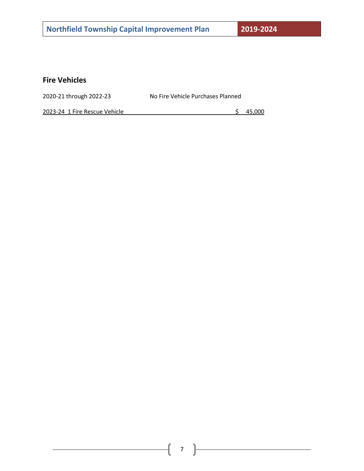## **Fire Vehicles**

| 2020-21 through 2022-23 | No Fire Vehicle Purchases Planned |
|-------------------------|-----------------------------------|
|                         |                                   |

2023-24 1 Fire Rescue Vehicle **1996** 2023-24 1 Fire Rescue Vehicle